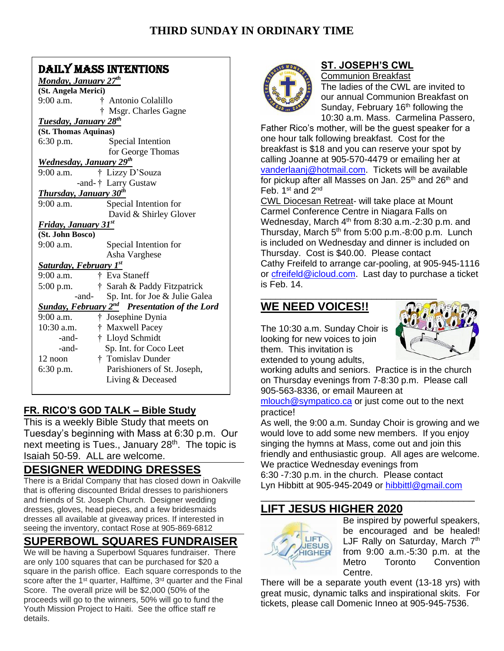### DAILY MASS INTENTIONS

| <b>Monday, January 27th</b>                                     |                                |
|-----------------------------------------------------------------|--------------------------------|
| (St. Angela Merici)                                             |                                |
| $9:00$ a.m.                                                     | † Antonio Colalillo            |
|                                                                 | † Msgr. Charles Gagne          |
| <b>Tuesday, January 28th</b>                                    |                                |
| (St. Thomas Aquinas)                                            |                                |
| $6:30$ p.m.                                                     | Special Intention              |
|                                                                 | for George Thomas              |
| <b>Wednesday, January 29th</b>                                  |                                |
| $9:00$ a.m.                                                     | † Lizzy D'Souza                |
|                                                                 | -and-† Larry Gustaw            |
| <b>Thursday, January 30th</b>                                   |                                |
| $9:00$ a.m.                                                     | Special Intention for          |
|                                                                 | David & Shirley Glover         |
| Friday, January 31st                                            |                                |
| (St. John Bosco)                                                |                                |
| $9:00$ a.m.                                                     | Special Intention for          |
|                                                                 | Asha Varghese                  |
| <b>Saturday, February 1st</b>                                   |                                |
| $9:00$ a.m.<br>Ť.                                               | Eva Staneff                    |
| $5:00$ p.m.                                                     | † Sarah & Paddy Fitzpatrick    |
| -and-                                                           | Sp. Int. for Joe & Julie Galea |
| <b>Sunday, February 2<sup>nd</sup></b> Presentation of the Lord |                                |
| $9:00$ a.m.                                                     | † Josephine Dynia              |
| $10:30$ a.m.                                                    | † Maxwell Pacey                |
| -and-                                                           | † Lloyd Schmidt                |
| -and-                                                           | Sp. Int. for Coco Leet         |
| 12 noon                                                         | † Tomislav Dunder              |
| $6:30$ p.m.                                                     | Parishioners of St. Joseph,    |
|                                                                 | Living & Deceased              |
|                                                                 |                                |

### **FR. RICO'S GOD TALK – Bible Study**

This is a weekly Bible Study that meets on Tuesday's beginning with Mass at 6:30 p.m. Our next meeting is Tues., January 28<sup>th</sup>. The topic is Isaiah 50-59. ALL are welcome.

## **DESIGNER WEDDING DRESSES**

There is a Bridal Company that has closed down in Oakville that is offering discounted Bridal dresses to parishioners and friends of St. Joseph Church. Designer wedding dresses, gloves, head pieces, and a few bridesmaids dresses all available at giveaway prices. If interested in seeing the inventory, contact Rose at 905-869-6812

### **SUPERBOWL SQUARES FUNDRAISER**

We will be having a Superbowl Squares fundraiser. There are only 100 squares that can be purchased for \$20 a square in the parish office. Each square corresponds to the score after the 1<sup>st</sup> quarter, Halftime, 3<sup>rd</sup> quarter and the Final Score. The overall prize will be \$2,000 (50% of the proceeds will go to the winners, 50% will go to fund the Youth Mission Project to Haiti. See the office staff re details.



#### **ST. JOSEPH'S CWL**

Communion Breakfast The ladies of the CWL are invited to our annual Communion Breakfast on Sunday, February  $16<sup>th</sup>$  following the 10:30 a.m. Mass. Carmelina Passero,

Father Rico's mother, will be the guest speaker for a one hour talk following breakfast. Cost for the breakfast is \$18 and you can reserve your spot by calling Joanne at 905-570-4479 or emailing her at [vanderlaanj@hotmail.com.](mailto:vanderlaanj@hotmail.com) Tickets will be available for pickup after all Masses on Jan.  $25<sup>th</sup>$  and  $26<sup>th</sup>$  and Feb. 1<sup>st</sup> and 2<sup>nd</sup>

CWL Diocesan Retreat- will take place at Mount Carmel Conference Centre in Niagara Falls on Wednesday, March  $4<sup>th</sup>$  from 8:30 a.m.-2:30 p.m. and Thursday, March 5<sup>th</sup> from 5:00 p.m.-8:00 p.m. Lunch is included on Wednesday and dinner is included on Thursday. Cost is \$40.00. Please contact Cathy Freifeld to arrange car-pooling, at 905-945-1116 or [cfreifeld@icloud.com.](mailto:cfreifeld@icloud.com) Last day to purchase a ticket is Feb. 14.

# **WE NEED VOICES!!**

The 10:30 a.m. Sunday Choir is looking for new voices to join them. This invitation is extended to young adults,



working adults and seniors. Practice is in the church on Thursday evenings from 7-8:30 p.m. Please call 905-563-8336, or email Maureen at

[mlouch@sympatico.ca](mailto:mlouch@sympatico.ca) or just come out to the next practice!

As well, the 9:00 a.m. Sunday Choir is growing and we would love to add some new members. If you enjoy singing the hymns at Mass, come out and join this friendly and enthusiastic group. All ages are welcome. We practice Wednesday evenings from 6:30 -7:30 p.m. in the church. Please contact

Lyn Hibbitt at 905-945-2049 or [hibbittl@gmail.com](mailto:hibbittl@gmail.com) \_\_\_\_\_\_\_\_\_\_\_\_\_\_\_\_\_\_\_\_\_\_\_\_\_\_\_\_\_\_\_\_\_\_\_\_\_\_\_

# **LIFT JESUS HIGHER 2020**



Be inspired by powerful speakers, be encouraged and be healed! LJF Rally on Saturday, March 7<sup>th</sup> from 9:00 a.m.-5:30 p.m. at the Metro Toronto Convention Centre.

There will be a separate youth event (13-18 yrs) with great music, dynamic talks and inspirational skits. For tickets, please call Domenic Inneo at 905-945-7536.